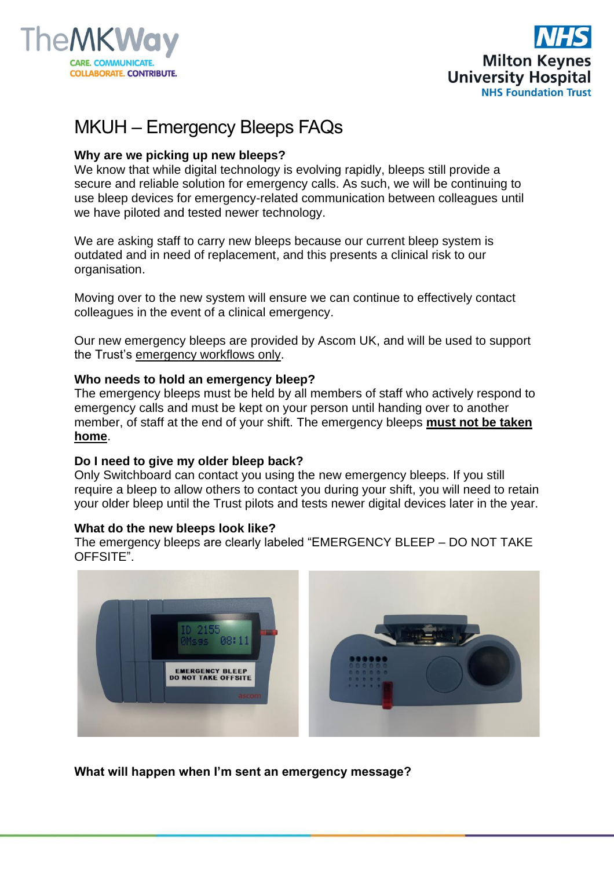



# MKUH – Emergency Bleeps FAQs

# **Why are we picking up new bleeps?**

We know that while digital technology is evolving rapidly, bleeps still provide a secure and reliable solution for emergency calls. As such, we will be continuing to use bleep devices for emergency-related communication between colleagues until we have piloted and tested newer technology.

We are asking staff to carry new bleeps because our current bleep system is outdated and in need of replacement, and this presents a clinical risk to our organisation.

Moving over to the new system will ensure we can continue to effectively contact colleagues in the event of a clinical emergency.

Our new emergency bleeps are provided by Ascom UK, and will be used to support the Trust's emergency workflows only.

### **Who needs to hold an emergency bleep?**

The emergency bleeps must be held by all members of staff who actively respond to emergency calls and must be kept on your person until handing over to another member, of staff at the end of your shift. The emergency bleeps **must not be taken home**.

### **Do I need to give my older bleep back?**

Only Switchboard can contact you using the new emergency bleeps. If you still require a bleep to allow others to contact you during your shift, you will need to retain your older bleep until the Trust pilots and tests newer digital devices later in the year.

### **What do the new bleeps look like?**

The emergency bleeps are clearly labeled "EMERGENCY BLEEP – DO NOT TAKE OFFSITE".



**What will happen when I'm sent an emergency message?**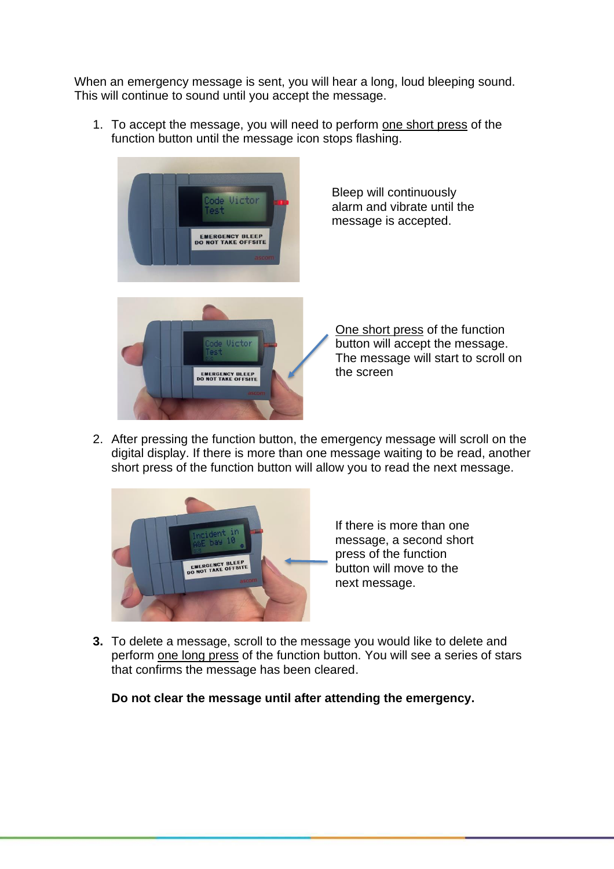When an emergency message is sent, you will hear a long, loud bleeping sound. This will continue to sound until you accept the message.

1. To accept the message, you will need to perform one short press of the function button until the message icon stops flashing.



2. After pressing the function button, the emergency message will scroll on the digital display. If there is more than one message waiting to be read, another short press of the function button will allow you to read the next message.



If there is more than one message, a second short press of the function button will move to the next message.

**3.** To delete a message, scroll to the message you would like to delete and perform one long press of the function button. You will see a series of stars that confirms the message has been cleared.

**Do not clear the message until after attending the emergency.**